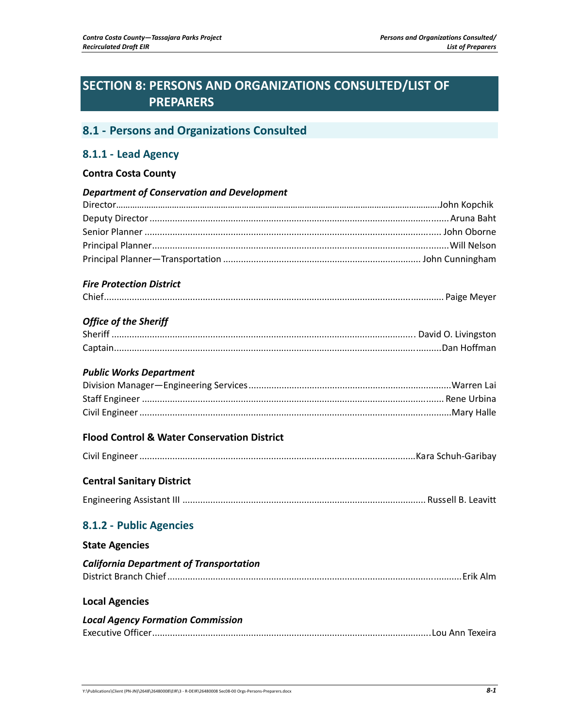# **SECTION 8: PERSONS AND ORGANIZATIONS CONSULTED/LIST OF PREPARERS**

# **8.1 - Persons and Organizations Consulted**

# **8.1.1 - Lead Agency**

## **Contra Costa County**

| <b>Department of Conservation and Development</b>      |  |
|--------------------------------------------------------|--|
|                                                        |  |
|                                                        |  |
|                                                        |  |
|                                                        |  |
|                                                        |  |
| <b>Fire Protection District</b>                        |  |
|                                                        |  |
| <b>Office of the Sheriff</b>                           |  |
|                                                        |  |
|                                                        |  |
| <b>Public Works Department</b>                         |  |
|                                                        |  |
|                                                        |  |
|                                                        |  |
| <b>Flood Control &amp; Water Conservation District</b> |  |
|                                                        |  |
| <b>Central Sanitary District</b>                       |  |
|                                                        |  |
| 8.1.2 - Public Agencies                                |  |
| <b>State Agencies</b>                                  |  |
| <b>California Department of Transportation</b>         |  |
|                                                        |  |
| <b>Local Agencies</b>                                  |  |
| <b>Local Agency Formation Commission</b>               |  |
|                                                        |  |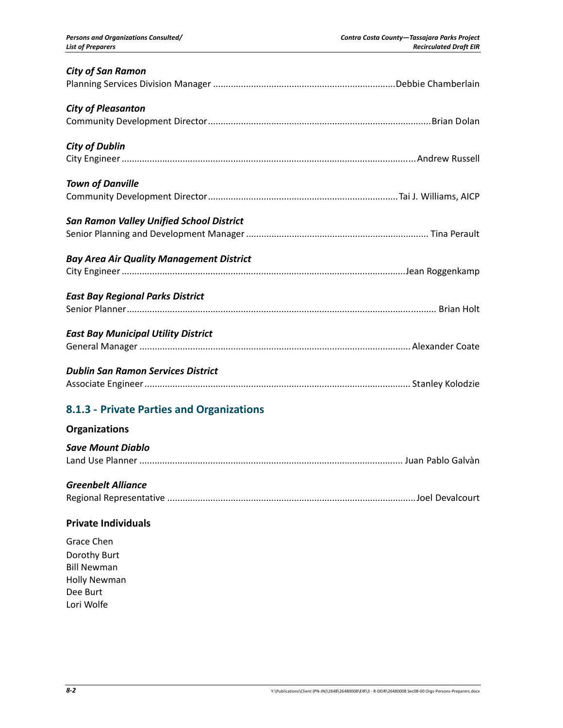| <b>City of San Ramon</b>                                                            |
|-------------------------------------------------------------------------------------|
| <b>City of Pleasanton</b>                                                           |
| <b>City of Dublin</b>                                                               |
| <b>Town of Danville</b>                                                             |
| <b>San Ramon Valley Unified School District</b>                                     |
| <b>Bay Area Air Quality Management District</b>                                     |
| <b>East Bay Regional Parks District</b>                                             |
| <b>East Bay Municipal Utility District</b>                                          |
| <b>Dublin San Ramon Services District</b>                                           |
| 8.1.3 - Private Parties and Organizations                                           |
| <b>Organizations</b>                                                                |
| <b>Save Mount Diablo</b>                                                            |
| <b>Greenbelt Alliance</b>                                                           |
| <b>Private Individuals</b>                                                          |
| Grace Chen<br>Dorothy Burt<br><b>Bill Newman</b><br><b>Holly Newman</b><br>Dee Burt |

Lori Wolfe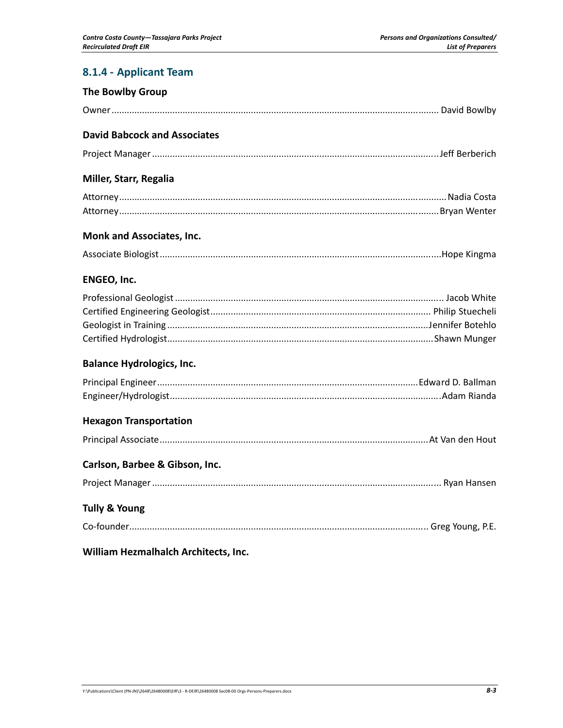# **8.1.4 - Applicant Team**

| <b>The Bowlby Group</b>              |  |
|--------------------------------------|--|
|                                      |  |
| <b>David Babcock and Associates</b>  |  |
|                                      |  |
| Miller, Starr, Regalia               |  |
|                                      |  |
|                                      |  |
| <b>Monk and Associates, Inc.</b>     |  |
|                                      |  |
| ENGEO, Inc.                          |  |
|                                      |  |
|                                      |  |
|                                      |  |
|                                      |  |
| <b>Balance Hydrologics, Inc.</b>     |  |
|                                      |  |
|                                      |  |
| <b>Hexagon Transportation</b>        |  |
|                                      |  |
| Carlson, Barbee & Gibson, Inc.       |  |
|                                      |  |
| <b>Tully &amp; Young</b>             |  |
|                                      |  |
| William Hezmalhalch Architects, Inc. |  |